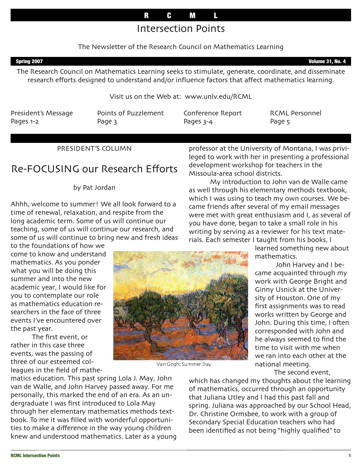# Intersection Points

## The Newsletter of the Research Council on Mathematics Learning

Spring 2007 **Volume 31, No. 4** 

The Research Council on Mathematics Learning seeks to stimulate, generate, coordinate, and disseminate research efforts designed to understand and/or influence factors that affect mathematics learning.

Visit us on the Web at: www.unlv.edu/RCML

President's Message Pages 1-2

Points of Puzzlement Page 3

Conference Report Pages 3-4

RCML Personnel Page 5

## PRESIDENT'S COLUMN

# Re-FOCUSING our Research Efforts

### by Pat Jordan

Ahhh, welcome to summer! We all look forward to a time of renewal, relaxation, and respite from the long academic term. Some of us will continue our teaching, some of us will continue our research, and some of us will continue to bring new and fresh ideas

to the foundations of how we come to know and understand mathematics. As you ponder what you will be doing this summer and into the new academic year, I would like for you to contemplate our role as mathematics education researchers in the face of three events I've encountered over the past year.

The first event, or rather in this case three events, was the passing of three of our esteemed colleagues in the field of mathe-

matics education. This past spring Lola J. May, John van de Walle, and John Harvey passed away. For me personally, this marked the end of an era. As an undergraduate I was first introduced to Lola May through her elementary mathematics methods textbook. To me it was filled with wonderful opportunities to make a difference in the way young children knew and understood mathematics. Later as a young professor at the University of Montana, I was privileged to work with her in presenting a professional development workshop for teachers in the Missoula-area school districts.

My introduction to John van de Walle came as well through his elementary methods textbook, which I was using to teach my own courses. We became friends after several of my email messages were met with great enthusiasm and I, as several of you have done, began to take a small role in his writing by serving as a reviewer for his text materials. Each semester I taught from his books, I

> learned something new about mathematics.

> John Harvey and I became acquainted through my work with George Bright and Ginny Usnick at the University of Houston. One of my first assignments was to read works written by George and John. During this time, I often corresponded with John and he always seemed to find the time to visit with me when we ran into each other at the national meeting.

The second event,

which has changed my thoughts about the learning of mathematics, occurred through an opportunity that Juliana Utley and I had this past fall and spring. Juliana was approached by our School Head, Dr. Christine Ormsbee, to work with a group of Secondary Special Education teachers who had been identified as not being "highly qualified" to



Van Gogh: Summer Day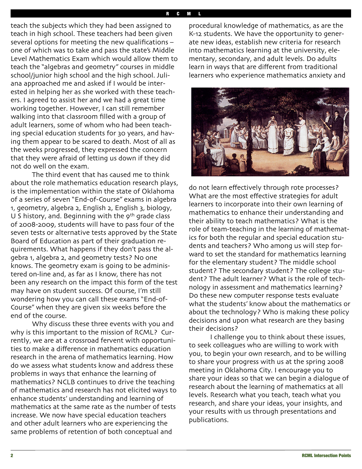teach the subjects which they had been assigned to teach in high school. These teachers had been given several options for meeting the new qualifications – one of which was to take and pass the state's Middle Level Mathematics Exam which would allow them to teach the "algebras and geometry" courses in middle school/junior high school and the high school. Juliana approached me and asked if I would be interested in helping her as she worked with these teachers. I agreed to assist her and we had a great time working together. However, I can still remember walking into that classroom filled with a group of adult learners, some of whom who had been teaching special education students for 30 years, and having them appear to be scared to death. Most of all as the weeks progressed, they expressed the concern that they were afraid of letting us down if they did not do well on the exam.

The third event that has caused me to think about the role mathematics education research plays, is the implementation within the state of Oklahoma of a series of seven "End-of-Course" exams in algebra 1, geometry, algebra 2, English 2, English 3, biology, U S history, and. Beginning with the 9<sup>th</sup> grade class of 2008-2009, students will have to pass four of the seven tests or alternative tests approved by the State Board of Education as part of their graduation requirements. What happens if they don't pass the algebra 1, algebra 2, and geometry tests? No one knows. The geometry exam is going to be administered on-line and, as far as I know, there has not been any research on the impact this form of the test may have on student success. Of course, I'm still wondering how you can call these exams "End-of-Course" when they are given six weeks before the end of the course.

Why discuss these three events with you and why is this important to the mission of RCML? Currently, we are at a crossroad fervent with opportunities to make a difference in mathematics education research in the arena of mathematics learning. How do we assess what students know and address these problems in ways that enhance the learning of mathematics? NCLB continues to drive the teaching of mathematics and research has not elicited ways to enhance students' understanding and learning of mathematics at the same rate as the number of tests increase. We now have special education teachers and other adult learners who are experiencing the same problems of retention of both conceptual and

procedural knowledge of mathematics, as are the K-12 students. We have the opportunity to generate new ideas, establish new criteria for research into mathematics learning at the university, elementary, secondary, and adult levels. Do adults learn in ways that are different from traditional learners who experience mathematics anxiety and



do not learn effectively through rote processes? What are the most effective strategies for adult learners to incorporate into their own learning of mathematics to enhance their understanding and their ability to teach mathematics? What is the role of team-teaching in the learning of mathematics for both the regular and special education students and teachers? Who among us will step forward to set the standard for mathematics learning for the elementary student? The middle school student? The secondary student? The college student? The adult learner? What is the role of technology in assessment and mathematics learning? Do these new computer response tests evaluate what the students' know about the mathematics or about the technology? Who is making these policy decisions and upon what research are they basing their decisions?

I challenge you to think about these issues, to seek colleagues who are willing to work with you, to begin your own research, and to be willing to share your progress with us at the spring 2008 meeting in Oklahoma City. I encourage you to share your ideas so that we can begin a dialogue of research about the learning of mathematics at all levels. Research what you teach, teach what you research, and share your ideas, your insights, and your results with us through presentations and publications.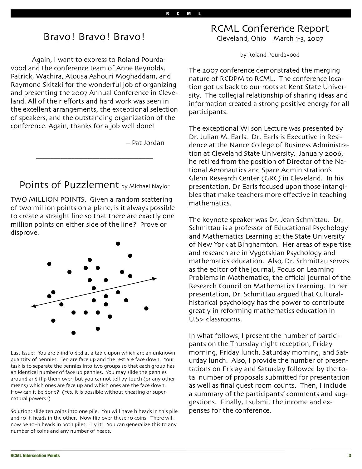# Bravo! Bravo! Bravo!

Again, I want to express to Roland Pourdavood and the conference team of Anne Reynolds, Patrick, Wachira, Atousa Ashouri Moghaddam, and Raymond Skitzki for the wonderful job of organizing and presenting the 2007 Annual Conference in Cleveland. All of their efforts and hard work was seen in the excellent arrangements, the exceptional selection of speakers, and the outstanding organization of the conference. Again, thanks for a job well done!

– Pat Jordan

Points of Puzzlement by Michael Naylor

\_\_\_\_\_\_\_\_\_\_\_\_\_\_\_\_\_\_\_\_\_\_\_\_\_\_\_\_\_\_\_\_\_

TWO MILLION POINTS. Given a random scattering of two million points on a plane, is it always possible to create a straight line so that there are exactly one million points on either side of the line? Prove or disprove.



Last Issue: You are blindfolded at a table upon which are an unknown quantity of pennies. Ten are face up and the rest are face down. Your task is to separate the pennies into two groups so that each group has an identical number of face up pennies. You may slide the pennies around and flip them over, but you cannot tell by touch (or any other means) which ones are face up and which ones are the face down. How can it be done? (Yes, it is possible without cheating or supernatural powers!)

Solution: slide ten coins into one pile. You will have h heads in this pile and 10–h heads in the other. Now flip over these 10 coins. There will now be 10–h heads in both piles. Try it! You can generalize this to any number of coins and any number of heads.

RCML Conference Report Cleveland, Ohio March 1-3, 2007

by Roland Pourdavood

The 2007 conference demonstrated the merging nature of RCDPM to RCML. The conference location got us back to our roots at Kent State University. The collegial relationship of sharing ideas and information created a strong positive energy for all participants.

The exceptional Wilson Lecture was presented by Dr. Julian M. Earls. Dr. Earls is Executive in Residence at the Nance College of Business Administration at Cleveland State University. January 2006, he retired from the position of Director of the National Aeronautics and Space Administration's Glenn Research Center (GRC) in Cleveland. In his presentation, Dr Earls focused upon those intangibles that make teachers more effective in teaching mathematics.

The keynote speaker was Dr. Jean Schmittau. Dr. Schmittau is a professor of Educational Psychology and Mathematics Learning at the State University of New York at Binghamton. Her areas of expertise and research are in Vygotskian Psychology and mathematics education. Also, Dr. Schmittau serves as the editor of the journal, Focus on Learning Problems in Mathematics, the official journal of the Research Council on Mathematics Learning. In her presentation, Dr. Schmittau argued that Culturalhistorical psychology has the power to contribute greatly in reforming mathematics education in U.S> classrooms.

In what follows, I present the number of participants on the Thursday night reception, Friday morning, Friday lunch, Saturday morning, and Saturday lunch. Also, I provide the number of presentations on Friday and Saturday followed by the total number of proposals submitted for presentation as well as final guest room counts. Then, I include a summary of the participants' comments and suggestions. Finally, I submit the income and expenses for the conference.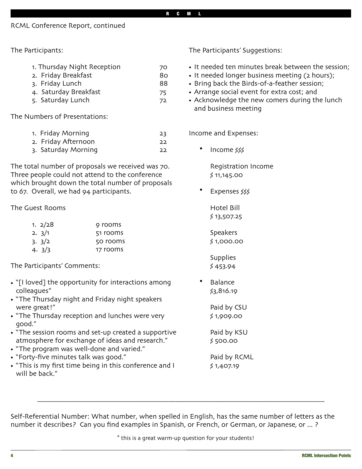### RCML Conference Report, continued

The Participants:

| 1. Thursday Night Reception | 70 |
|-----------------------------|----|
| 2. Friday Breakfast         | 80 |
| 3. Friday Lunch             | 88 |

- 4. Saturday Breakfast 75
- 5. Saturday Lunch 72

The Numbers of Presentations:

| 1. Friday Morning   | 23 |
|---------------------|----|
| 2. Friday Afternoon | 22 |
| 3. Saturday Morning | 22 |

The total number of proposals we received was 70. Three people could not attend to the conference which brought down the total number of proposals to 67. Overall, we had 94 participants.

### The Guest Rooms

| 1. $2/28$ | 9 rooms  |
|-----------|----------|
| 2.3/1     | 51 rooms |
| 3.3/2     | 50 rooms |
| 4. $3/3$  | 17 rooms |

The Participants' Comments:

- "[I loved] the opportunity for interactions among colleagues"
- "The Thursday night and Friday night speakers were great!"
- "The Thursday reception and lunches were very good."
- "The session rooms and set-up created a supportive atmosphere for exchange of ideas and research."
- "The program was well-done and varied."
- "Forty-five minutes talk was good."
- "This is my first time being in this conference and I will be back."

The Participants' Suggestions:

- It needed ten minutes break between the session;
- It needed longer business meeting (2 hours);
- Bring back the Birds-of-a-feather session;
- Arrange social event for extra cost; and
- Acknowledge the new comers during the lunch and business meeting

Income and Expenses:

• Income \$\$\$

Registration Income \$ 11,145.00

• Expenses \$\$\$

Hotel Bill \$ 13,507.25

Speakers \$ 1,000.00

**Supplies** \$ 453.94

**Balance** \$3,816.19

> Paid by CSU \$ 1,909.00

Paid by KSU \$ 500.00

Paid by RCML \$ 1,407.19

Self-Referential Number: What number, when spelled in English, has the same number of letters as the number it describes? Can you find examples in Spanish, or French, or German, or Japanese, or ... ?

\_\_\_\_\_\_\_\_\_\_\_\_\_\_\_\_\_\_\_\_\_\_\_\_\_\_\_\_\_\_\_\_\_\_\_\_\_\_\_\_\_\_\_\_\_\_\_\_\_\_\_\_\_\_\_\_\_\_\_\_\_\_\_\_\_\_\_\_\_\_\_\_\_\_\_\_\_\_\_\_\_

\* this is a great warm-up question for your students!